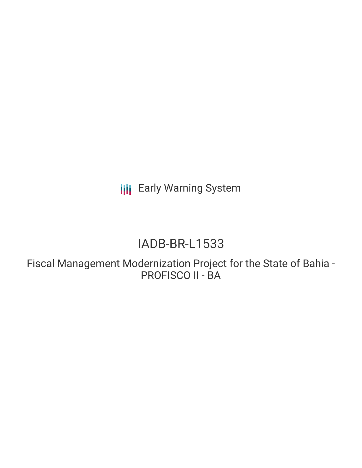**III** Early Warning System

# IADB-BR-L1533

Fiscal Management Modernization Project for the State of Bahia - PROFISCO II - BA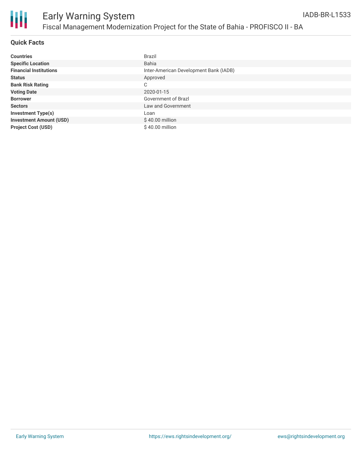

#### **Quick Facts**

| <b>Countries</b>               | Brazil                                 |
|--------------------------------|----------------------------------------|
| <b>Specific Location</b>       | <b>Bahia</b>                           |
| <b>Financial Institutions</b>  | Inter-American Development Bank (IADB) |
| <b>Status</b>                  | Approved                               |
| <b>Bank Risk Rating</b>        | C                                      |
| <b>Voting Date</b>             | 2020-01-15                             |
| <b>Borrower</b>                | Government of Brazl                    |
| <b>Sectors</b>                 | Law and Government                     |
| <b>Investment Type(s)</b>      | Loan                                   |
| <b>Investment Amount (USD)</b> | $$40.00$ million                       |
| <b>Project Cost (USD)</b>      | \$40.00 million                        |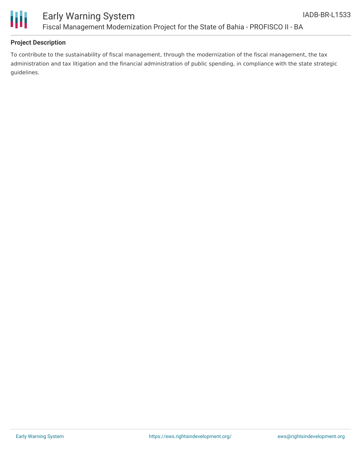

Ш

## **Project Description**

To contribute to the sustainability of fiscal management, through the modernization of the fiscal management, the tax administration and tax litigation and the financial administration of public spending, in compliance with the state strategic guidelines.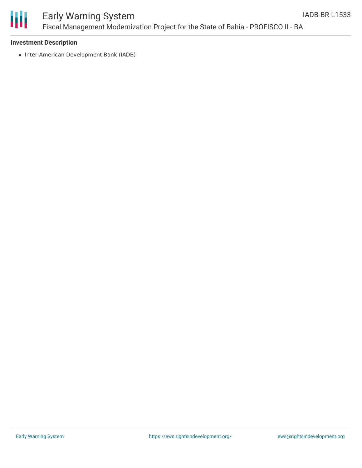

# Early Warning System Fiscal Management Modernization Project for the State of Bahia - PROFISCO II - BA

#### **Investment Description**

• Inter-American Development Bank (IADB)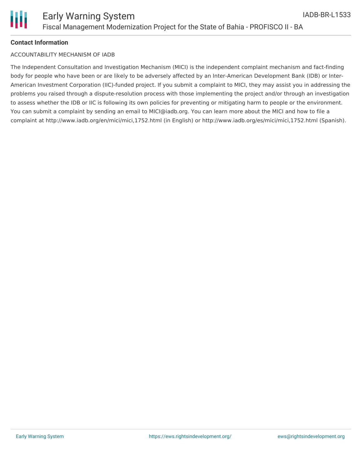## **Contact Information**

### ACCOUNTABILITY MECHANISM OF IADB

The Independent Consultation and Investigation Mechanism (MICI) is the independent complaint mechanism and fact-finding body for people who have been or are likely to be adversely affected by an Inter-American Development Bank (IDB) or Inter-American Investment Corporation (IIC)-funded project. If you submit a complaint to MICI, they may assist you in addressing the problems you raised through a dispute-resolution process with those implementing the project and/or through an investigation to assess whether the IDB or IIC is following its own policies for preventing or mitigating harm to people or the environment. You can submit a complaint by sending an email to MICI@iadb.org. You can learn more about the MICI and how to file a complaint at http://www.iadb.org/en/mici/mici,1752.html (in English) or http://www.iadb.org/es/mici/mici,1752.html (Spanish).